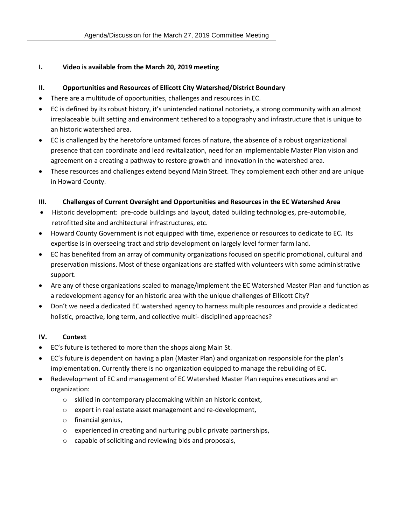## **I. Video is available from the March 20, 2019 meeting**

## **II. Opportunities and Resources of Ellicott City Watershed/District Boundary**

- There are a multitude of opportunities, challenges and resources in EC.
- EC is defined by its robust history, it's unintended national notoriety, a strong community with an almost irreplaceable built setting and environment tethered to a topography and infrastructure that is unique to an historic watershed area.
- EC is challenged by the heretofore untamed forces of nature, the absence of a robust organizational presence that can coordinate and lead revitalization, need for an implementable Master Plan vision and agreement on a creating a pathway to restore growth and innovation in the watershed area.
- These resources and challenges extend beyond Main Street. They complement each other and are unique in Howard County.

### **III. Challenges of Current Oversight and Opportunities and Resources in the EC Watershed Area**

- Historic development: pre-code buildings and layout, dated building technologies, pre-automobile, retrofitted site and architectural infrastructures, etc.
- Howard County Government is not equipped with time, experience or resources to dedicate to EC. Its expertise is in overseeing tract and strip development on largely level former farm land.
- EC has benefited from an array of community organizations focused on specific promotional, cultural and preservation missions. Most of these organizations are staffed with volunteers with some administrative support.
- Are any of these organizations scaled to manage/implement the EC Watershed Master Plan and function as a redevelopment agency for an historic area with the unique challenges of Ellicott City?
- Don't we need a dedicated EC watershed agency to harness multiple resources and provide a dedicated holistic, proactive, long term, and collective multi- disciplined approaches?

# **IV. Context**

- EC's future is tethered to more than the shops along Main St.
- EC's future is dependent on having a plan (Master Plan) and organization responsible for the plan's implementation. Currently there is no organization equipped to manage the rebuilding of EC.
- Redevelopment of EC and management of EC Watershed Master Plan requires executives and an organization:
	- o skilled in contemporary placemaking within an historic context,
	- o expert in real estate asset management and re-development,
	- o financial genius,
	- o experienced in creating and nurturing public private partnerships,
	- o capable of soliciting and reviewing bids and proposals,